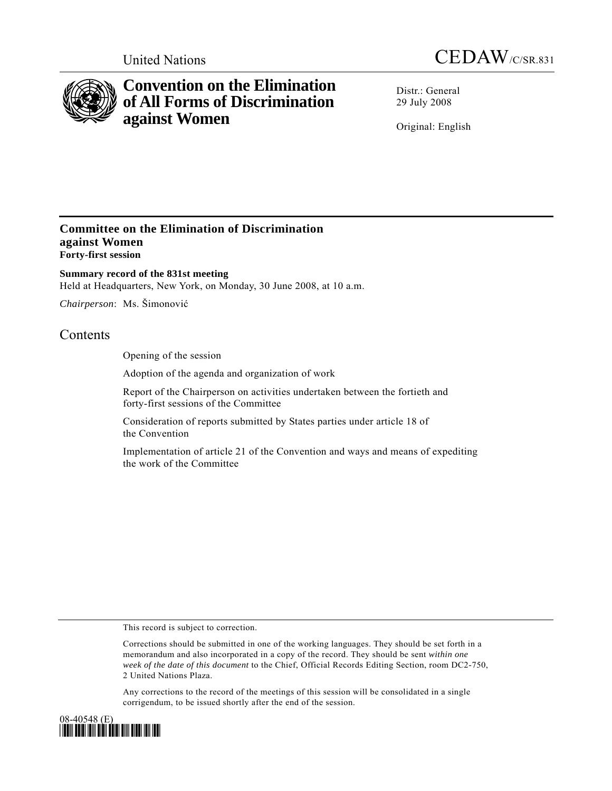



# **Convention on the Elimination of All Forms of Discrimination against Women**

Distr · General 29 July 2008

Original: English

## **Committee on the Elimination of Discrimination against Women Forty-first session**

**Summary record of the 831st meeting**  Held at Headquarters, New York, on Monday, 30 June 2008, at 10 a.m.

*Chairperson*: Ms. Šimonović

## **Contents**

Opening of the session

Adoption of the agenda and organization of work

Report of the Chairperson on activities undertaken between the fortieth and forty-first sessions of the Committee

Consideration of reports submitted by States parties under article 18 of the Convention

Implementation of article 21 of the Convention and ways and means of expediting the work of the Committee

This record is subject to correction.

Corrections should be submitted in one of the working languages. They should be set forth in a memorandum and also incorporated in a copy of the record. They should be sent *within one week of the date of this document* to the Chief, Official Records Editing Section, room DC2-750, 2 United Nations Plaza.

Any corrections to the record of the meetings of this session will be consolidated in a single corrigendum, to be issued shortly after the end of the session.

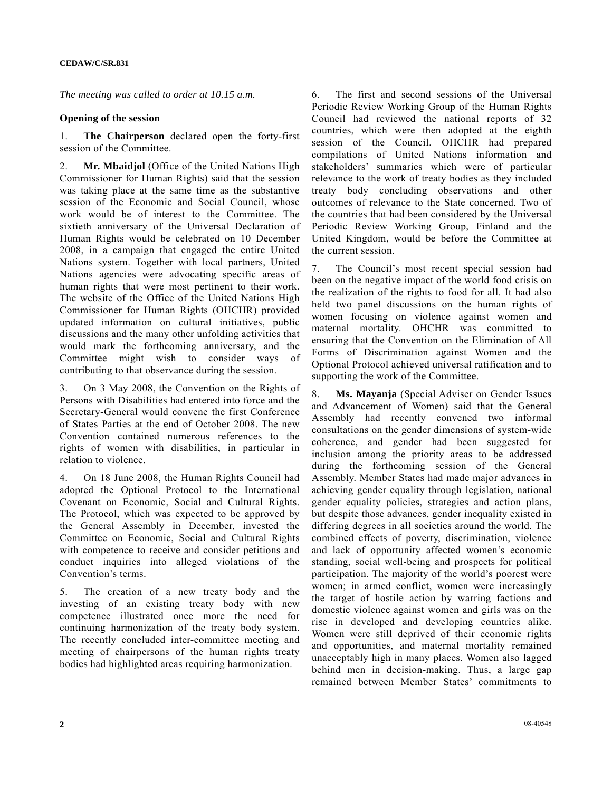*The meeting was called to order at 10.15 a.m.*

#### **Opening of the session**

1. **The Chairperson** declared open the forty-first session of the Committee.

2. **Mr. Mbaidjol** (Office of the United Nations High Commissioner for Human Rights) said that the session was taking place at the same time as the substantive session of the Economic and Social Council, whose work would be of interest to the Committee. The sixtieth anniversary of the Universal Declaration of Human Rights would be celebrated on 10 December 2008, in a campaign that engaged the entire United Nations system. Together with local partners, United Nations agencies were advocating specific areas of human rights that were most pertinent to their work. The website of the Office of the United Nations High Commissioner for Human Rights (OHCHR) provided updated information on cultural initiatives, public discussions and the many other unfolding activities that would mark the forthcoming anniversary, and the Committee might wish to consider ways of contributing to that observance during the session.

3. On 3 May 2008, the Convention on the Rights of Persons with Disabilities had entered into force and the Secretary-General would convene the first Conference of States Parties at the end of October 2008. The new Convention contained numerous references to the rights of women with disabilities, in particular in relation to violence.

4. On 18 June 2008, the Human Rights Council had adopted the Optional Protocol to the International Covenant on Economic, Social and Cultural Rights. The Protocol, which was expected to be approved by the General Assembly in December, invested the Committee on Economic, Social and Cultural Rights with competence to receive and consider petitions and conduct inquiries into alleged violations of the Convention's terms.

5. The creation of a new treaty body and the investing of an existing treaty body with new competence illustrated once more the need for continuing harmonization of the treaty body system. The recently concluded inter-committee meeting and meeting of chairpersons of the human rights treaty bodies had highlighted areas requiring harmonization.

6. The first and second sessions of the Universal Periodic Review Working Group of the Human Rights Council had reviewed the national reports of 32 countries, which were then adopted at the eighth session of the Council. OHCHR had prepared compilations of United Nations information and stakeholders' summaries which were of particular relevance to the work of treaty bodies as they included treaty body concluding observations and other outcomes of relevance to the State concerned. Two of the countries that had been considered by the Universal Periodic Review Working Group, Finland and the United Kingdom, would be before the Committee at the current session.

7. The Council's most recent special session had been on the negative impact of the world food crisis on the realization of the rights to food for all. It had also held two panel discussions on the human rights of women focusing on violence against women and maternal mortality. OHCHR was committed to ensuring that the Convention on the Elimination of All Forms of Discrimination against Women and the Optional Protocol achieved universal ratification and to supporting the work of the Committee.

8. **Ms. Mayanja** (Special Adviser on Gender Issues and Advancement of Women) said that the General Assembly had recently convened two informal consultations on the gender dimensions of system-wide coherence, and gender had been suggested for inclusion among the priority areas to be addressed during the forthcoming session of the General Assembly. Member States had made major advances in achieving gender equality through legislation, national gender equality policies, strategies and action plans, but despite those advances, gender inequality existed in differing degrees in all societies around the world. The combined effects of poverty, discrimination, violence and lack of opportunity affected women's economic standing, social well-being and prospects for political participation. The majority of the world's poorest were women; in armed conflict, women were increasingly the target of hostile action by warring factions and domestic violence against women and girls was on the rise in developed and developing countries alike. Women were still deprived of their economic rights and opportunities, and maternal mortality remained unacceptably high in many places. Women also lagged behind men in decision-making. Thus, a large gap remained between Member States' commitments to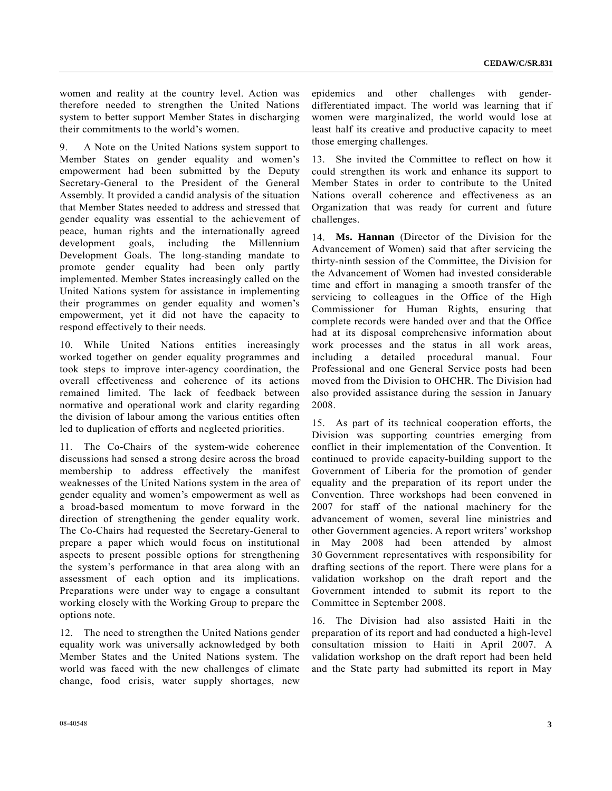women and reality at the country level. Action was therefore needed to strengthen the United Nations system to better support Member States in discharging their commitments to the world's women.

9. A Note on the United Nations system support to Member States on gender equality and women's empowerment had been submitted by the Deputy Secretary-General to the President of the General Assembly. It provided a candid analysis of the situation that Member States needed to address and stressed that gender equality was essential to the achievement of peace, human rights and the internationally agreed development goals, including the Millennium Development Goals. The long-standing mandate to promote gender equality had been only partly implemented. Member States increasingly called on the United Nations system for assistance in implementing their programmes on gender equality and women's empowerment, yet it did not have the capacity to respond effectively to their needs.

10. While United Nations entities increasingly worked together on gender equality programmes and took steps to improve inter-agency coordination, the overall effectiveness and coherence of its actions remained limited. The lack of feedback between normative and operational work and clarity regarding the division of labour among the various entities often led to duplication of efforts and neglected priorities.

11. The Co-Chairs of the system-wide coherence discussions had sensed a strong desire across the broad membership to address effectively the manifest weaknesses of the United Nations system in the area of gender equality and women's empowerment as well as a broad-based momentum to move forward in the direction of strengthening the gender equality work. The Co-Chairs had requested the Secretary-General to prepare a paper which would focus on institutional aspects to present possible options for strengthening the system's performance in that area along with an assessment of each option and its implications. Preparations were under way to engage a consultant working closely with the Working Group to prepare the options note.

12. The need to strengthen the United Nations gender equality work was universally acknowledged by both Member States and the United Nations system. The world was faced with the new challenges of climate change, food crisis, water supply shortages, new

epidemics and other challenges with genderdifferentiated impact. The world was learning that if women were marginalized, the world would lose at least half its creative and productive capacity to meet those emerging challenges.

13. She invited the Committee to reflect on how it could strengthen its work and enhance its support to Member States in order to contribute to the United Nations overall coherence and effectiveness as an Organization that was ready for current and future challenges.

14. **Ms. Hannan** (Director of the Division for the Advancement of Women) said that after servicing the thirty-ninth session of the Committee, the Division for the Advancement of Women had invested considerable time and effort in managing a smooth transfer of the servicing to colleagues in the Office of the High Commissioner for Human Rights, ensuring that complete records were handed over and that the Office had at its disposal comprehensive information about work processes and the status in all work areas, including a detailed procedural manual. Four Professional and one General Service posts had been moved from the Division to OHCHR. The Division had also provided assistance during the session in January 2008.

15. As part of its technical cooperation efforts, the Division was supporting countries emerging from conflict in their implementation of the Convention. It continued to provide capacity-building support to the Government of Liberia for the promotion of gender equality and the preparation of its report under the Convention. Three workshops had been convened in 2007 for staff of the national machinery for the advancement of women, several line ministries and other Government agencies. A report writers' workshop in May 2008 had been attended by almost 30 Government representatives with responsibility for drafting sections of the report. There were plans for a validation workshop on the draft report and the Government intended to submit its report to the Committee in September 2008.

16. The Division had also assisted Haiti in the preparation of its report and had conducted a high-level consultation mission to Haiti in April 2007. A validation workshop on the draft report had been held and the State party had submitted its report in May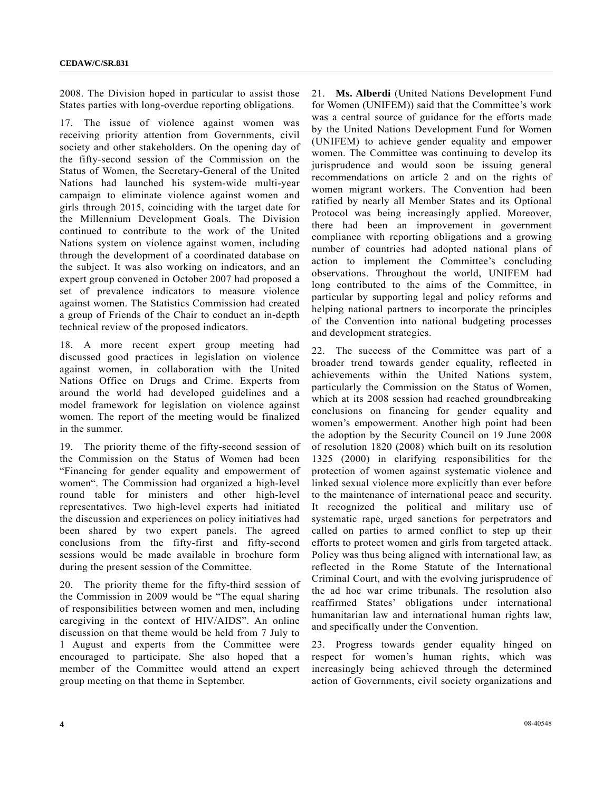2008. The Division hoped in particular to assist those States parties with long-overdue reporting obligations.

17. The issue of violence against women was receiving priority attention from Governments, civil society and other stakeholders. On the opening day of the fifty-second session of the Commission on the Status of Women, the Secretary-General of the United Nations had launched his system-wide multi-year campaign to eliminate violence against women and girls through 2015, coinciding with the target date for the Millennium Development Goals. The Division continued to contribute to the work of the United Nations system on violence against women, including through the development of a coordinated database on the subject. It was also working on indicators, and an expert group convened in October 2007 had proposed a set of prevalence indicators to measure violence against women. The Statistics Commission had created a group of Friends of the Chair to conduct an in-depth technical review of the proposed indicators.

18. A more recent expert group meeting had discussed good practices in legislation on violence against women, in collaboration with the United Nations Office on Drugs and Crime. Experts from around the world had developed guidelines and a model framework for legislation on violence against women. The report of the meeting would be finalized in the summer.

19. The priority theme of the fifty-second session of the Commission on the Status of Women had been "Financing for gender equality and empowerment of women". The Commission had organized a high-level round table for ministers and other high-level representatives. Two high-level experts had initiated the discussion and experiences on policy initiatives had been shared by two expert panels. The agreed conclusions from the fifty-first and fifty-second sessions would be made available in brochure form during the present session of the Committee.

20. The priority theme for the fifty-third session of the Commission in 2009 would be "The equal sharing of responsibilities between women and men, including caregiving in the context of HIV/AIDS". An online discussion on that theme would be held from 7 July to 1 August and experts from the Committee were encouraged to participate. She also hoped that a member of the Committee would attend an expert group meeting on that theme in September.

21. **Ms. Alberdi** (United Nations Development Fund for Women (UNIFEM)) said that the Committee's work was a central source of guidance for the efforts made by the United Nations Development Fund for Women (UNIFEM) to achieve gender equality and empower women. The Committee was continuing to develop its jurisprudence and would soon be issuing general recommendations on article 2 and on the rights of women migrant workers. The Convention had been ratified by nearly all Member States and its Optional Protocol was being increasingly applied. Moreover, there had been an improvement in government compliance with reporting obligations and a growing number of countries had adopted national plans of action to implement the Committee's concluding observations. Throughout the world, UNIFEM had long contributed to the aims of the Committee, in particular by supporting legal and policy reforms and helping national partners to incorporate the principles of the Convention into national budgeting processes and development strategies.

22. The success of the Committee was part of a broader trend towards gender equality, reflected in achievements within the United Nations system, particularly the Commission on the Status of Women, which at its 2008 session had reached groundbreaking conclusions on financing for gender equality and women's empowerment. Another high point had been the adoption by the Security Council on 19 June 2008 of resolution 1820 (2008) which built on its resolution 1325 (2000) in clarifying responsibilities for the protection of women against systematic violence and linked sexual violence more explicitly than ever before to the maintenance of international peace and security. It recognized the political and military use of systematic rape, urged sanctions for perpetrators and called on parties to armed conflict to step up their efforts to protect women and girls from targeted attack. Policy was thus being aligned with international law, as reflected in the Rome Statute of the International Criminal Court, and with the evolving jurisprudence of the ad hoc war crime tribunals. The resolution also reaffirmed States' obligations under international humanitarian law and international human rights law, and specifically under the Convention.

23. Progress towards gender equality hinged on respect for women's human rights, which was increasingly being achieved through the determined action of Governments, civil society organizations and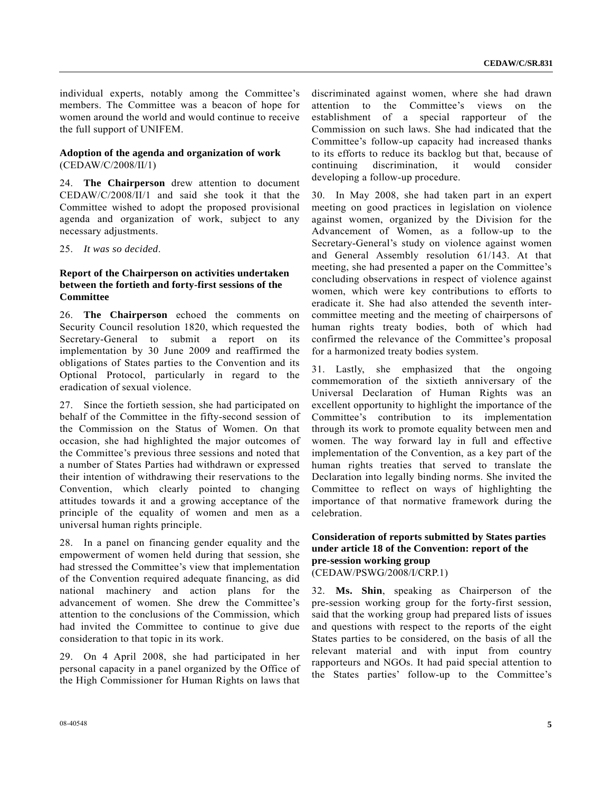individual experts, notably among the Committee's members. The Committee was a beacon of hope for women around the world and would continue to receive the full support of UNIFEM.

#### **Adoption of the agenda and organization of work**  (CEDAW/C/2008/II/1)

24. **The Chairperson** drew attention to document CEDAW/C/2008/II/1 and said she took it that the Committee wished to adopt the proposed provisional agenda and organization of work, subject to any necessary adjustments.

25. *It was so decided*.

#### **Report of the Chairperson on activities undertaken between the fortieth and forty-first sessions of the Committee**

26. **The Chairperson** echoed the comments on Security Council resolution 1820, which requested the Secretary-General to submit a report on its implementation by 30 June 2009 and reaffirmed the obligations of States parties to the Convention and its Optional Protocol, particularly in regard to the eradication of sexual violence.

27. Since the fortieth session, she had participated on behalf of the Committee in the fifty-second session of the Commission on the Status of Women. On that occasion, she had highlighted the major outcomes of the Committee's previous three sessions and noted that a number of States Parties had withdrawn or expressed their intention of withdrawing their reservations to the Convention, which clearly pointed to changing attitudes towards it and a growing acceptance of the principle of the equality of women and men as a universal human rights principle.

28. In a panel on financing gender equality and the empowerment of women held during that session, she had stressed the Committee's view that implementation of the Convention required adequate financing, as did national machinery and action plans for the advancement of women. She drew the Committee's attention to the conclusions of the Commission, which had invited the Committee to continue to give due consideration to that topic in its work.

29. On 4 April 2008, she had participated in her personal capacity in a panel organized by the Office of the High Commissioner for Human Rights on laws that

discriminated against women, where she had drawn attention to the Committee's views on the establishment of a special rapporteur of the Commission on such laws. She had indicated that the Committee's follow-up capacity had increased thanks to its efforts to reduce its backlog but that, because of continuing discrimination, it would consider developing a follow-up procedure.

30. In May 2008, she had taken part in an expert meeting on good practices in legislation on violence against women, organized by the Division for the Advancement of Women, as a follow-up to the Secretary-General's study on violence against women and General Assembly resolution 61/143. At that meeting, she had presented a paper on the Committee's concluding observations in respect of violence against women, which were key contributions to efforts to eradicate it. She had also attended the seventh intercommittee meeting and the meeting of chairpersons of human rights treaty bodies, both of which had confirmed the relevance of the Committee's proposal for a harmonized treaty bodies system.

31. Lastly, she emphasized that the ongoing commemoration of the sixtieth anniversary of the Universal Declaration of Human Rights was an excellent opportunity to highlight the importance of the Committee's contribution to its implementation through its work to promote equality between men and women. The way forward lay in full and effective implementation of the Convention, as a key part of the human rights treaties that served to translate the Declaration into legally binding norms. She invited the Committee to reflect on ways of highlighting the importance of that normative framework during the celebration.

### **Consideration of reports submitted by States parties under article 18 of the Convention: report of the pre-session working group**  (CEDAW/PSWG/2008/I/CRP.1)

32. **Ms. Shin**, speaking as Chairperson of the pre-session working group for the forty-first session, said that the working group had prepared lists of issues and questions with respect to the reports of the eight States parties to be considered, on the basis of all the relevant material and with input from country rapporteurs and NGOs. It had paid special attention to the States parties' follow-up to the Committee's